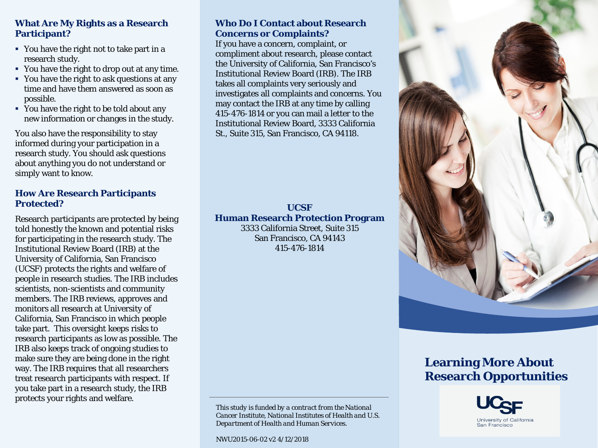## **What Are My Rights as a Research Participant?**

- You have the right not to take part in a research study.
- You have the right to drop out at any time.
- You have the right to ask questions at any time and have them answered as soon as possible.
- You have the right to be told about any new information or changes in the study.

You also have the responsibility to stay informed during your participation in a research study. You should ask questions about anything you do not understand or simply want to know.

## **How Are Research Participants Protected?**

Research participants are protected by being told honestly the known and potential risks for participating in the research study. The Institutional Review Board (IRB) at the University of California, San Francisco (UCSF) protects the rights and welfare of people in research studies. The IRB includes scientists, non-scientists and community members. The IRB reviews, approves and monitors all research at University of California, San Francisco in which people take part. This oversight keeps risks to research participants as low as possible. The IRB also keeps track of ongoing studies to make sure they are being done in the right way. The IRB requires that all researchers treat research participants with respect. If you take part in a research study, the IRB protects your rights and welfare.

## **Who Do I Contact about Research Concerns or Complaints?**

If you have a concern, complaint, or compliment about research, please contact the University of California, San Francisco's Institutional Review Board (IRB). The IRB takes all complaints very seriously and investigates all complaints and concerns. You may contact the IRB at any time by calling 415-476-1814 or you can mail a letter to the Institutional Review Board, 3333 California St., Suite 315, San Francisco, CA 94118.

#### **UCSF Human Research Protection Program** 3333 California Street, Suite 315

San Francisco, CA 94143 415-476-1814



NWU2015-06-02 v2 4/12/2018



# **Learning More About Research Opportunities**